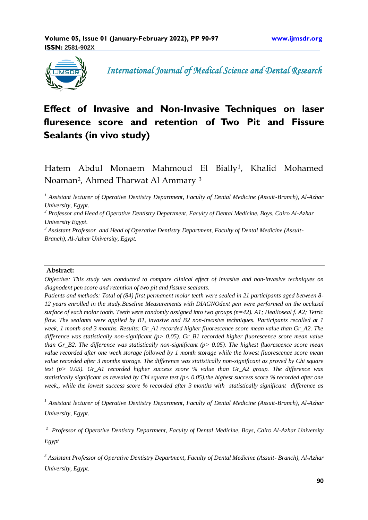

 *International Journal of Medical Science and Dental Research*

# **Effect of Invasive and Non-Invasive Techniques on laser fluresence score and retention of Two Pit and Fissure Sealants (in vivo study)**

Hatem Abdul Monaem Mahmoud El Bially<sup>1</sup> , Khalid Mohamed Noaman<sup>2</sup> , Ahmed Tharwat Al Ammary <sup>3</sup>

*<sup>1</sup> Assistant lecturer of Operative Dentistry Department, Faculty of Dental Medicine (Assuit-Branch), Al-Azhar University, Egypt.*

*<sup>2</sup> Professor and Head of Operative Dentistry Department, Faculty of Dental Medicine, Boys, Cairo Al-Azhar University Egypt.*

*<sup>3</sup> Assistant Professor and Head of Operative Dentistry Department, Faculty of Dental Medicine (Assuit-Branch), Al-Azhar University, Egypt.*

#### **Abstract:**

1

*Objective: This study was conducted to compare clinical effect of invasive and non-invasive techniques on diagnodent pen score and retention of two pit and fissure sealants.* 

*Patients and methods: Total of (84) first permanent molar teeth were sealed in 21 participants aged between 8- 12 years enrolled in the study.Baseline Measurements with DIAGNOdent pen were performed on the occlusal surface of each molar tooth. Teeth were randomly assigned into two groups (n=42). A1; Healioseal f. A2; Tetric flow. The sealants were applied by B1, invasive and B2 non-invasive techniques. Participants recalled at 1 week, 1 month and 3 months. Results: Gr\_A1 recorded higher fluorescence score mean value than Gr\_A2. The difference was statistically non-significant (p> 0.05). Gr\_B1 recorded higher fluorescence score mean value than Gr\_B2. The difference was statistically non-significant (p> 0.05). The highest fluorescence score mean value recorded after one week storage followed by 1 month storage while the lowest fluorescence score mean value recorded after 3 months storage. The difference was statistically non-significant as proved by Chi square test (p> 0.05). Gr\_A1 recorded higher success score % value than Gr\_A2 group. The difference was statistically significant as revealed by Chi square test (p< 0.05).the highest success score % recorded after one week,, while the lowest success score % recorded after 3 months with statistically significant difference as* 

*<sup>1</sup> Assistant lecturer of Operative Dentistry Department, Faculty of Dental Medicine (Assuit-Branch), Al-Azhar University, Egypt.*

<sup>2</sup> Professor of Operative Dentistry Department, Faculty of Dental Medicine, Boys, Cairo Al-Azhar University *Egypt* 

*<sup>3</sup> Assistant Professor of Operative Dentistry Department, Faculty of Dental Medicine (Assuit- Branch), Al-Azhar University, Egypt.*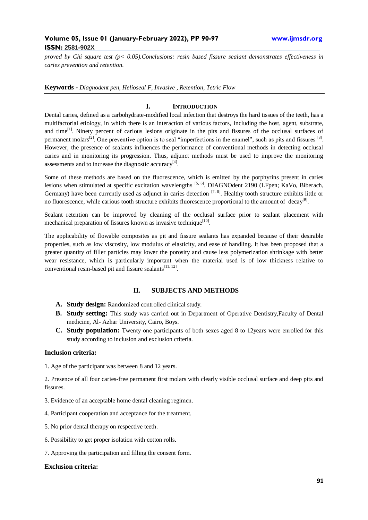*proved by Chi square test (p< 0.05).Conclusions: resin based fissure sealant demonstrates effectiveness in caries prevention and retention.*

**Keywords** *- Diagnodent pen, Helioseal F, Invasive , Retention, Tetric Flow*

## **I. INTRODUCTION**

Dental caries, defined as a carbohydrate-modified local infection that destroys the hard tissues of the teeth, has a multifactorial etiology, in which there is an interaction of various factors, including the host, agent, substrate, and time<sup>[1]</sup>. Ninety percent of carious lesions originate in the pits and fissures of the occlusal surfaces of permanent molars<sup>[2]</sup>. One preventive option is to seal "imperfections in the enamel", such as pits and fissures  $[3]$ . However, the presence of sealants influences the performance of conventional methods in detecting occlusal caries and in monitoring its progression. Thus, adjunct methods must be used to improve the monitoring assessments and to increase the diagnostic accuracy $[4]$ .

Some of these methods are based on the fluorescence, which is emitted by the porphyrins present in caries lesions when stimulated at specific excitation wavelengths <sup>[5, 6]</sup>. DIAGNOdent 2190 (LFpen; KaVo, Biberach, Germany) have been currently used as adjunct in caries detection  $[7, 8]$ . Healthy tooth structure exhibits little or no fluorescence, while carious tooth structure exhibits fluorescence proportional to the amount of decay<sup>[9]</sup>.

Sealant retention can be improved by cleaning of the occlusal surface prior to sealant placement with mechanical preparation of fissures known as invasive technique<sup>[10]</sup>.

The applicability of flowable composites as pit and fissure sealants has expanded because of their desirable properties, such as low viscosity, low modulus of elasticity, and ease of handling. It has been proposed that a greater quantity of filler particles may lower the porosity and cause less polymerization shrinkage with better wear resistance, which is particularly important when the material used is of low thickness relative to conventional resin-based pit and fissure sealants $[11, 12]$ .

## **II. SUBJECTS AND METHODS**

- **A. Study design:** Randomized controlled clinical study.
- **B. Study setting:** This study was carried out in Department of Operative Dentistry,Faculty of Dental medicine, Al- Azhar University, Cairo, Boys.
- **C. Study population:** Twenty one participants of both sexes aged 8 to 12years were enrolled for this study according to inclusion and exclusion criteria.

#### **Inclusion criteria:**

1. Age of the participant was between 8 and 12 years.

2. Presence of all four caries-free permanent first molars with clearly visible occlusal surface and deep pits and fissures.

- 3. Evidence of an acceptable home dental cleaning regimen.
- 4. Participant cooperation and acceptance for the treatment.
- 5. No prior dental therapy on respective teeth.
- 6. Possibility to get proper isolation with cotton rolls.
- 7. Approving the participation and filling the consent form.

#### **Exclusion criteria:**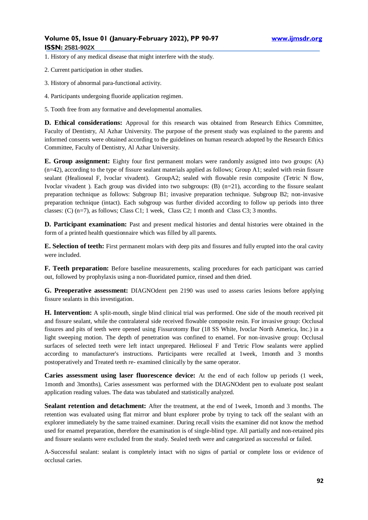1. History of any medical disease that might interfere with the study.

2. Current participation in other studies.

- 3. History of abnormal para-functional activity.
- 4. Participants undergoing fluoride application regimen.

5. Tooth free from any formative and developmental anomalies.

**D. Ethical considerations:** Approval for this research was obtained from Research Ethics Committee, Faculty of Dentistry, Al Azhar University. The purpose of the present study was explained to the parents and informed consents were obtained according to the guidelines on human research adopted by the Research Ethics Committee, Faculty of Dentistry, Al Azhar University.

**E. Group assignment:** Eighty four first permanent molars were randomly assigned into two groups: (A)  $(n=42)$ , according to the type of fissure sealant materials applied as follows; Group A1; sealed with resin fissure sealant (Healioseal F, Ivoclar vivadent). GroupA2; sealed with flowable resin composite (Tetric N flow, Ivoclar vivadent ). Each group was divided into two subgroups:  $(B)$  (n=21), according to the fissure sealant preparation technique as follows: Subgroup B1; invasive preparation technique. Subgroup B2; non-invasive preparation technique (intact). Each subgroup was further divided according to follow up periods into three classes: (C) (n=7), as follows; Class C1; 1 week, Class C2; 1 month and Class C3; 3 months.

**D. Participant examination:** Past and present medical histories and dental histories were obtained in the form of a printed health questionnaire which was filled by all parents.

**E. Selection of teeth:** First permanent molars with deep pits and fissures and fully erupted into the oral cavity were included.

**F. Teeth preparation:** Before baseline measurements, scaling procedures for each participant was carried out, followed by prophylaxis using a non-fluoridated pumice, rinsed and then dried.

**G. Preoperative assessment:** DIAGNOdent pen 2190 was used to assess caries lesions before applying fissure sealants in this investigation.

**H. Intervention:** A split-mouth, single blind clinical trial was performed. One side of the mouth received pit and fissure sealant, while the contralateral side received flowable composite resin. For invasive group: Occlusal fissures and pits of teeth were opened using Fissurotomy Bur (18 SS White, Ivoclar North America, Inc.) in a light sweeping motion. The depth of penetration was confined to enamel. For non-invasive group: Occlusal surfaces of selected teeth were left intact unprepared. Helioseal F and Tetric Flow sealants were applied according to manufacturer's instructions. Participants were recalled at 1week, 1month and 3 months postoperatively and Treated teeth re- examined clinically by the same operator.

**Caries assessment using laser fluorescence device:** At the end of each follow up periods (1 week, 1month and 3months), Caries assessment was performed with the DIAGNOdent pen to evaluate post sealant application reading values. The data was tabulated and statistically analyzed.

**Sealant retention and detachment:** After the treatment, at the end of 1week, 1month and 3 months. The retention was evaluated using flat mirror and blunt explorer probe by trying to tack off the sealant with an explorer immediately by the same trained examiner. During recall visits the examiner did not know the method used for enamel preparation, therefore the examination is of single-blind type. All partially and non-retained pits and fissure sealants were excluded from the study. Sealed teeth were and categorized as successful or failed.

A-Successful sealant: sealant is completely intact with no signs of partial or complete loss or evidence of occlusal caries.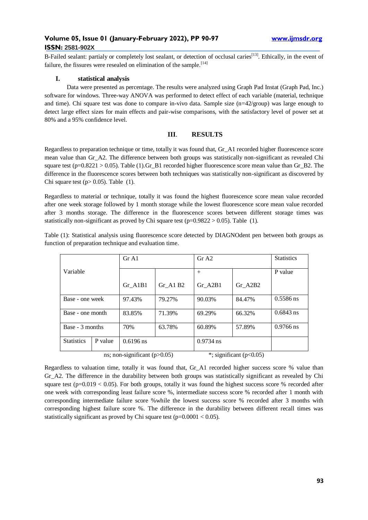B-Failed sealant: partialy or completely lost sealant, or detection of occlusal caries<sup>[13]</sup>. Ethically, in the event of failure, the fissures were resealed on elimination of the sample.  $[14]$ 

#### **I. statistical analysis**

Data were presented as percentage. The results were analyzed using Graph Pad Instat (Graph Pad, Inc.) software for windows. Three-way ANOVA was performed to detect effect of each variable (material, technique and time). Chi square test was done to compare in-vivo data. Sample size (n=42/group) was large enough to detect large effect sizes for main effects and pair-wise comparisons, with the satisfactory level of power set at 80% and a 95% confidence level.

## **III**. **RESULTS**

Regardless to preparation technique or time, totally it was found that, Gr\_A1 recorded higher fluorescence score mean value than Gr\_A2. The difference between both groups was statistically non-significant as revealed Chi square test ( $p=0.8221 > 0.05$ ). Table (1).Gr\_B1 recorded higher fluorescence score mean value than Gr\_B2. The difference in the fluorescence scores between both techniques was statistically non-significant as discovered by Chi square test ( $p > 0.05$ ). Table (1).

Regardless to material or technique, totally it was found the highest fluorescence score mean value recorded after one week storage followed by 1 month storage while the lowest fluorescence score mean value recorded after 3 months storage. The difference in the fluorescence scores between different storage times was statistically non-significant as proved by Chi square test ( $p=0.9822 > 0.05$ ). Table (1).

Table (1): Statistical analysis using fluorescence score detected by DIAGNOdent pen between both groups as function of preparation technique and evaluation time.

|                   |         | Gr A1       |            | Gr A2       |         | <b>Statistics</b> |
|-------------------|---------|-------------|------------|-------------|---------|-------------------|
| Variable          |         |             |            | $^{+}$      |         | P value           |
|                   |         | Gr A1B1     | $Gr$ A1 B2 | Gr A2B1     | Gr A2B2 |                   |
| Base - one week   |         | 97.43%      | 79.27%     | 90.03%      | 84.47%  | $0.5586$ ns       |
| Base - one month  |         | 83.85%      | 71.39%     | 69.29%      | 66.32%  | $0.6843$ ns       |
| Base - 3 months   |         | 70%         | 63.78%     | 60.89%      | 57.89%  | $0.9766$ ns       |
| <b>Statistics</b> | P value | $0.6196$ ns |            | $0.9734$ ns |         |                   |
|                   |         |             |            |             |         |                   |

Regardless to valuation time, totally it was found that, Gr\_A1 recorded higher success score % value than Gr\_A2. The difference in the durability between both groups was statistically significant as revealed by Chi square test ( $p=0.019 < 0.05$ ). For both groups, totally it was found the highest success score % recorded after one week with corresponding least failure score %, intermediate success score % recorded after 1 month with corresponding intermediate failure score %while the lowest success score % recorded after 3 months with corresponding highest failure score %. The difference in the durability between different recall times was statistically significant as proved by Chi square test ( $p=0.0001 < 0.05$ ).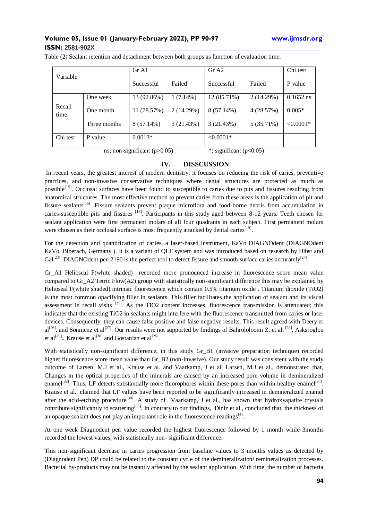| Variable |              | Gr A1       |             | Gr A2        |            | Chi test    |
|----------|--------------|-------------|-------------|--------------|------------|-------------|
|          |              | Successful  | Failed      | Successful   | Failed     | P value     |
| Recall   | One week     | 13 (92.86%) | $1(7.14\%)$ | 12 (85.71%)  | 2(14.29%)  | $0.1652$ ns |
| time     | One month    | 11 (78.57%) | 2(14.29%)   | $8(57.14\%)$ | 4(28.57%)  | $0.005*$    |
|          | Three months | 8 (57.14%)  | 3(21.43%)   | 3(21.43%)    | 5 (35.71%) | $< 0.0001*$ |
| Chi test | P value      | $0.0013*$   |             | $< 0.0001*$  |            |             |

Table (2) Sealant retention and detachment between both groups as function of evaluation time.

ns; non-significant (p $>0.05$ ) \*; significant (p $<0.05$ )

## **IV. DISSCUSSION**

In recent years, the greatest interest of modern dentistry; it focuses on reducing the risk of caries, preventive practices, and non-invasive conservative techniques where dental structures are protected as much as possible<sup>[15]</sup>. Occlusal surfaces have been found to susceptible to caries due to pits and fissures resulting from anatomical structures. The most effective method to prevent caries from these areas is the application of pit and fissure sealants<sup>[16]</sup>. Fissure sealants prevent plaque microflora and food-borne debris from accumulation in caries-susceptible pits and fissures <sup>[18]</sup>. Participants in this study aged between 8-12 years. Teeth chosen for sealant application were first permanent molars of all four quadrants in each subject. First permanent molars were chosen as their occlusal surface is most frequently attacked by dental caries<sup>[19]</sup>.

For the detection and quantification of caries, a laser-based instrument, KaVo DIAGNOdent (DIAGNOdent KaVo, Biberach, Germany ). It is a variant of QLF system and was introduced based on research by Hibst and  $Gal^{[23]}$ . DIAGNOdent pen 2190 is the perfect tool to detect fissure and smooth surface caries accurately<sup>[24]</sup>.

Gr\_A1 Helioseal F(white shaded) recorded more pronounced increase in fluorescence score mean value compared to Gr\_A2 Tetric Flow(A2) group with statistically non-significant difference this may be explained by Helioseal F(white shaded) intrinsic fluorescence which contain 0.5% titanium oxide . Titanium dioxide (TiO2) is the most common opacifying filler in sealants. This filler facilitates the application of sealant and its visual assessment in recall visits <sup>[25]</sup>. As the TiO2 content increases, fluorescence transmission is attenuated; this indicates that the existing TiO2 in sealants might interfere with the fluorescence transmitted from caries or laser devices. Consequently, they can cause false positive and false negative results. This result agreed with Deery et  $al^{[26]}$ . and Sonmenz et al<sup>[27]</sup>. Our results were not supported by findings of Bahrololoomi Z. et al. <sup>[28]</sup>, Asksroglou et al<sup>[29]</sup>, Krause et al<sup>[30]</sup> and Gostanian et al<sup>[25]</sup>.

With statistically non-significant difference, in this study Gr\_B1 (invasive preparation technique) recorded higher fluorescence score mean value than Gr\_B2 (non-invasive). Our study result was consistent with the study outcome of Larsen, M.J et al., Krause et al. and Vaarkamp, J et al. Larsen, M.J et al., demonstrated that, Changes in the optical properties of the minerals are caused by an increased pore volume in demineralized enamel<sup>[33]</sup>. Thus, LF detects substantially more fluorophores within these pores than within healthy enamel<sup>[34]</sup>. Krause et al., claimed that LF values have been reported to be significantly increased in demineralized enamel after the acid-etching procedure<sup>[30]</sup>. A study of Vaarkamp, J et al., has shown that hydroxyapatite crystals contribute significantly to scattering<sup>[35]</sup>. In contrary to our findings, Diniz et al., concluded that, the thickness of an opaque sealant does not play an important role in the fluorescence readings $[4]$ .

At one week Diagnodent pen value recorded the highest fluorescence followed by 1 month while 3months recorded the lowest values, with statistically non- significant difference.

This non-significant decrease in caries progression from baseline values to 3 months values as detected by (Diagnodent Pen) DP could be related to the constant cycle of the demineralization**/** remineralization processes. Bacterial by-products may not be instantly affected by the sealant application. With time, the number of bacteria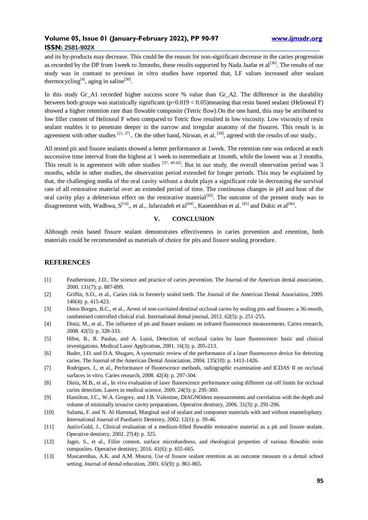and its by-products may decrease. This could be the reason for non-significant decrease in the caries progression as recorded by the DP from 1 week to 3months, these results supported by Nada Jaafar et al<sup>[36]</sup>. The results of our study was in contrast to previous in vitro studies have reported that, LF values increased after sealant thermocycling<sup>[4]</sup>, aging in saline<sup>[30]</sup>.

In this study Gr A1 recorded higher success score % value than Gr A2. The difference in the durability between both groups was statistically significant ( $p=0.019 < 0.05$ )meaning that resin based sealant (Helioseal F) showed a higher retention rate than flowable composite (Tetric flow).On the one hand, this may be attributed to low filler content of Helioseal F when compared to Tetric flow resulted in low viscosity. Low viscosity of resin sealant enables it to penetrate deeper in the narrow and irregular anatomy of the fissures. This result is in agreement with other studies  $[21, 37]$ . On the other hand, Nirwan, et al.  $[39]$ , agreed with the results of our study..

All tested pit and fissure sealants showed a better performance at 1week. The retention rate was reduced at each successive time interval from the highest at 1 week to intermediate at 1month, while the lowest was at 3 months. This result is in agreement with other studies  $[37, 40-42]$ . But in our study, the overall observation period was 3 months, while in other studies, the observation period extended for longer periods. This may be explained by that, the challenging media of the oral cavity without a doubt plays a significant role in decreasing the survival rate of all restorative material over an extended period of time. The continuous changes in pH and heat of the oral cavity play a deleterious effect on the restorative material<sup>[43]</sup>. The outcome of the present study was in disagreement with, Wadhwa,  $S^{[14]}$ ., et al., Jafarzadeh et al<sup>[44]</sup>., Kasemkhun et al. <sup>[45]</sup> and Dukic et al<sup>[46]</sup>.

#### **V. CONCLUSION**

Although resin based fissure sealant demonstrates effectiveness in caries prevention and retention, both materials could be recommended as materials of choice for pits and fissure sealing procedure.

### **REFERENCES**

- [1] Featherstone, J.D., The science and practice of caries prevention. The Journal of the American dental association, 2000. 131(7): p. 887-899.
- [2] Griffin, S.O., et al., Caries risk in formerly sealed teeth. The Journal of the American Dental Association, 2009. 140(4): p. 415-423.
- [3] Dutra Borges, B.C., et al., Arrest of non-cavitated dentinal occlusal caries by sealing pits and fissures: a 36-month, randomised controlled clinical trial. International dental journal, 2012. 62(5): p. 251-255.
- [4] Diniz, M., et al., The influence of pit and fissure sealants on infrared fluorescence measurements. Caries research, 2008. 42(5): p. 328-333.
- [5] Hibst, R., R. Paulus, and A. Lussi, Detection of occlusal caries by laser fluorescence: basic and clinical investigations. Medical Laser Application, 2001. 16(3): p. 205-213.
- [6] Bader, J.D. and D.A. Shugars, A systematic review of the performance of a laser fluorescence device for detecting caries. The Journal of the American Dental Association, 2004. 135(10): p. 1413-1426.
- [7] Rodrigues, J., et al., Performance of fluorescence methods, radiographic examination and ICDAS II on occlusal surfaces in vitro. Caries research, 2008. 42(4): p. 297-304.
- [8] Diniz, M.B., et al., In vivo evaluation of laser fluorescence performance using different cut-off limits for occlusal caries detection. Lasers in medical science, 2009. 24(3): p. 295-300.
- [9] Hamilton, J.C., W.A. Gregory, and J.B. Valentine, DIAGNOdent measurements and correlation with the depth and volume of minimally invasive cavity preparations. Operative dentistry, 2006. 31(3): p. 291-296.
- [10] Salama, F. and N. Al‐Hammad, Marginal seal of sealant and compomer materials with and without enameloplasty. International Journal of Paediatric Dentistry, 2002. 12(1): p. 39-46.
- [11] Autio-Gold, J., Clinical evaluation of a medium-filled flowable restorative material as a pit and fissure sealant. Operative dentistry, 2002. 27(4): p. 325.
- [12] Jager, S., et al., Filler content, surface microhardness, and rheological properties of various flowable resin composites. Operative dentistry, 2016. 41(6): p. 655-665.
- [13] Mascarenhas, A.K. and A.M. Moursi, Use of fissure sealant retention as an outcome measure in a dental school setting. Journal of dental education, 2001. 65(9): p. 861-865.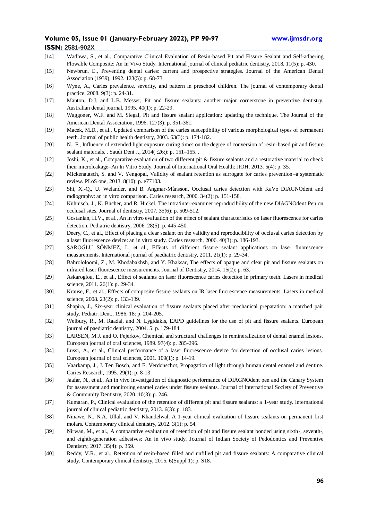- [14] Wadhwa, S., et al., Comparative Clinical Evaluation of Resin-based Pit and Fissure Sealant and Self-adhering Flowable Composite: An In Vivo Study. International journal of clinical pediatric dentistry, 2018. 11(5): p. 430.
- [15] Newbrun, E., Preventing dental caries: current and prospective strategies. Journal of the American Dental Association (1939), 1992. 123(5): p. 68-73.
- [16] Wyne, A., Caries prevalence, severity, and pattern in preschool children. The journal of contemporary dental practice, 2008. 9(3): p. 24-31.
- [17] Manton, D.J. and L.B. Messer, Pit and fissure sealants: another major cornerstone in preventive dentistry. Australian dental journal, 1995. 40(1): p. 22-29.
- [18] Waggoner, W.F. and M. Siegal, Pit and fissure sealant application: updating the technique. The Journal of the American Dental Association, 1996. 127(3): p. 351-361.
- [19] Macek, M.D., et al., Updated comparison of the caries susceptibility of various morphological types of permanent teeth. Journal of public health dentistry, 2003. 63(3): p. 174-182.
- [20] N., F., Influence of extended light exposure curing times on the degree of conversion of resin-based pit and fissure sealant materials. . Saudi Dent J., 2014( ;26:): p. 151–155. .
- [12] Joshi, K., et al., Comparative evaluation of two different pit & fissure sealants and a restorative material to check their microleakage–An In Vitro Study. Journal of International Oral Health: JIOH, 2013. 5(4): p. 35.
- [22] Mickenautsch, S. and V. Yengopal, Validity of sealant retention as surrogate for caries prevention–a systematic review. PLoS one, 2013. 8(10): p. e77103.
- [23] Shi, X.-Q., U. Welander, and B. Angmar-Månsson, Occlusal caries detection with KaVo DIAGNOdent and radiography: an in vitro comparison. Caries research, 2000. 34(2): p. 151-158.
- [24] Kühnisch, J., K. Bücher, and R. Hickel, The intra/inter-examiner reproducibility of the new DIAGNOdent Pen on occlusal sites. Journal of dentistry, 2007. 35(6): p. 509-512.
- [25] Gostanian, H.V., et al., An in vitro evaluation of the effect of sealant characteristics on laser fluorescence for caries detection. Pediatric dentistry, 2006. 28(5): p. 445-450.
- [26] Deery, C., et al., Effect of placing a clear sealant on the validity and reproducibility of occlusal caries detection by a laser fluorescence device: an in vitro study. Caries research, 2006. 40(3): p. 186-193.
- [27] ŞAROĞLU SÖNMEZ, I., et al., Effects of different fissure sealant applications on laser fluorescence measurements. International journal of paediatric dentistry, 2011. 21(1): p. 29-34.
- [28] Bahrololoomi, Z., M. Khodabakhsh, and Y. Khaksar, The effects of opaque and clear pit and fissure sealants on infrared laser fluorescence measurements. Journal of Dentistry, 2014. 15(2): p. 63.
- [29] Askaroglou, E., et al., Effect of sealants on laser fluorescence caries detection in primary teeth. Lasers in medical science, 2011, 26(1): p. 29-34.
- [30] Krause, F., et al., Effects of composite fissure sealants on IR laser fluorescence measurements. Lasers in medical science, 2008. 23(2): p. 133-139.
- [31] Shapira, J., Six-year clinical evaluation of fissure sealants placed after mechanical preparation: a matched pair study. Pediatr. Dent., 1986. 18: p. 204-205.
- [32] Welbury, R., M. Raadal, and N. Lygidakis, EAPD guidelines for the use of pit and fissure sealants. European journal of paediatric dentistry, 2004. 5: p. 179-184.
- [33] LARSEN, M.J. and O. Fejerkov, Chemical and structural challenges in remineralization of dental enamel lesions. European journal of oral sciences, 1989. 97(4): p. 285-296.
- [34] Lussi, A., et al., Clinical performance of a laser fluorescence device for detection of occlusal caries lesions. European journal of oral sciences, 2001. 109(1): p. 14-19.
- [35] Vaarkamp, J., J. Ten Bosch, and E. Verdonschot, Propagation of light through human dental enamel and dentine. Caries Research, 1995. 29(1): p. 8-13.
- [36] Jaafar, N., et al., An in vivo investigation of diagnostic performance of DIAGNOdent pen and the Canary System for assessment and monitoring enamel caries under fissure sealants. Journal of International Society of Preventive & Community Dentistry, 2020. 10(3): p. 246.
- [37] Kumaran, P., Clinical evaluation of the retention of different pit and fissure sealants: a 1-year study. International journal of clinical pediatric dentistry, 2013. 6(3): p. 183.
- [38] Ninawe, N., N.A. Ullal, and V. Khandelwal, A 1-year clinical evaluation of fissure sealants on permanent first molars. Contemporary clinical dentistry, 2012. 3(1): p. 54.
- [39] Nirwan, M., et al., A comparative evaluation of retention of pit and fissure sealant bonded using sixth-, seventh-, and eighth-generation adhesives: An in vivo study. Journal of Indian Society of Pedodontics and Preventive Dentistry, 2017. 35(4): p. 359.
- [40] Reddy, V.R., et al., Retention of resin-based filled and unfilled pit and fissure sealants: A comparative clinical study. Contemporary clinical dentistry, 2015. 6(Suppl 1): p. S18.